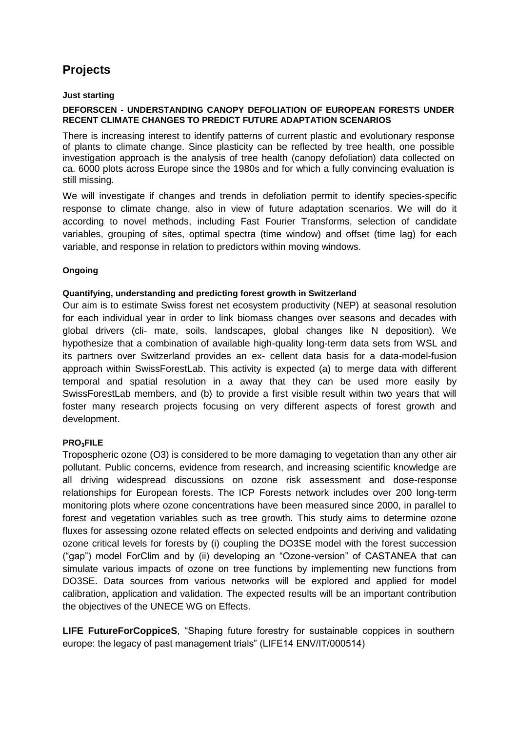# **Projects**

### **Just starting**

#### **DEFORSCEN - UNDERSTANDING CANOPY DEFOLIATION OF EUROPEAN FORESTS UNDER RECENT CLIMATE CHANGES TO PREDICT FUTURE ADAPTATION SCENARIOS**

There is increasing interest to identify patterns of current plastic and evolutionary response of plants to climate change. Since plasticity can be reflected by tree health, one possible investigation approach is the analysis of tree health (canopy defoliation) data collected on ca. 6000 plots across Europe since the 1980s and for which a fully convincing evaluation is still missing.

We will investigate if changes and trends in defoliation permit to identify species-specific response to climate change, also in view of future adaptation scenarios. We will do it according to novel methods, including Fast Fourier Transforms, selection of candidate variables, grouping of sites, optimal spectra (time window) and offset (time lag) for each variable, and response in relation to predictors within moving windows.

### **Ongoing**

### **Quantifying, understanding and predicting forest growth in Switzerland**

Our aim is to estimate Swiss forest net ecosystem productivity (NEP) at seasonal resolution for each individual year in order to link biomass changes over seasons and decades with global drivers (cli- mate, soils, landscapes, global changes like N deposition). We hypothesize that a combination of available high-quality long-term data sets from WSL and its partners over Switzerland provides an ex- cellent data basis for a data-model-fusion approach within SwissForestLab. This activity is expected (a) to merge data with different temporal and spatial resolution in a away that they can be used more easily by SwissForestLab members, and (b) to provide a first visible result within two years that will foster many research projects focusing on very different aspects of forest growth and development.

## **PRO3FILE**

Tropospheric ozone (O3) is considered to be more damaging to vegetation than any other air pollutant. Public concerns, evidence from research, and increasing scientific knowledge are all driving widespread discussions on ozone risk assessment and dose-response relationships for European forests. The ICP Forests network includes over 200 long-term monitoring plots where ozone concentrations have been measured since 2000, in parallel to forest and vegetation variables such as tree growth. This study aims to determine ozone fluxes for assessing ozone related effects on selected endpoints and deriving and validating ozone critical levels for forests by (i) coupling the DO3SE model with the forest succession ("gap") model ForClim and by (ii) developing an "Ozone-version" of CASTANEA that can simulate various impacts of ozone on tree functions by implementing new functions from DO3SE. Data sources from various networks will be explored and applied for model calibration, application and validation. The expected results will be an important contribution the objectives of the UNECE WG on Effects.

**LIFE FutureForCoppiceS**, "Shaping future forestry for sustainable coppices in southern europe: the legacy of past management trials" (LIFE14 ENV/IT/000514)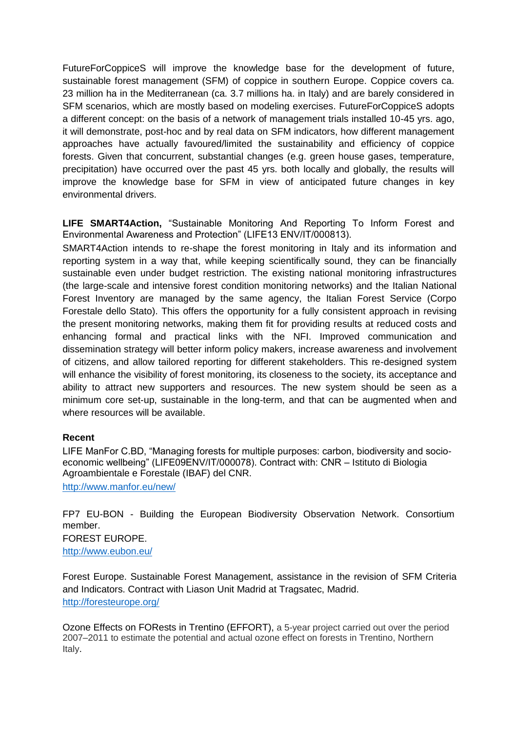FutureForCoppiceS will improve the knowledge base for the development of future, sustainable forest management (SFM) of coppice in southern Europe. Coppice covers ca. 23 million ha in the Mediterranean (ca. 3.7 millions ha. in Italy) and are barely considered in SFM scenarios, which are mostly based on modeling exercises. FutureForCoppiceS adopts a different concept: on the basis of a network of management trials installed 10-45 yrs. ago, it will demonstrate, post-hoc and by real data on SFM indicators, how different management approaches have actually favoured/limited the sustainability and efficiency of coppice forests. Given that concurrent, substantial changes (e.g. green house gases, temperature, precipitation) have occurred over the past 45 yrs. both locally and globally, the results will improve the knowledge base for SFM in view of anticipated future changes in key environmental drivers.

**LIFE SMART4Action,** "Sustainable Monitoring And Reporting To Inform Forest and Environmental Awareness and Protection" (LIFE13 ENV/IT/000813).

SMART4Action intends to re-shape the forest monitoring in Italy and its information and reporting system in a way that, while keeping scientifically sound, they can be financially sustainable even under budget restriction. The existing national monitoring infrastructures (the large-scale and intensive forest condition monitoring networks) and the Italian National Forest Inventory are managed by the same agency, the Italian Forest Service (Corpo Forestale dello Stato). This offers the opportunity for a fully consistent approach in revising the present monitoring networks, making them fit for providing results at reduced costs and enhancing formal and practical links with the NFI. Improved communication and dissemination strategy will better inform policy makers, increase awareness and involvement of citizens, and allow tailored reporting for different stakeholders. This re-designed system will enhance the visibility of forest monitoring, its closeness to the society, its acceptance and ability to attract new supporters and resources. The new system should be seen as a minimum core set-up, sustainable in the long-term, and that can be augmented when and where resources will be available.

## **Recent**

LIFE ManFor C.BD, "Managing forests for multiple purposes: carbon, biodiversity and socioeconomic wellbeing" (LIFE09ENV/IT/000078). Contract with: CNR – Istituto di Biologia Agroambientale e Forestale (IBAF) del CNR.

<http://www.manfor.eu/new/>

FP7 EU-BON - Building the European Biodiversity Observation Network. Consortium member.

FOREST EUROPE. <http://www.eubon.eu/>

Forest Europe. Sustainable Forest Management, assistance in the revision of SFM Criteria and Indicators. Contract with Liason Unit Madrid at Tragsatec, Madrid. <http://foresteurope.org/>

Ozone Effects on FORests in Trentino (EFFORT), a 5-year project carried out over the period 2007–2011 to estimate the potential and actual ozone effect on forests in Trentino, Northern Italy.